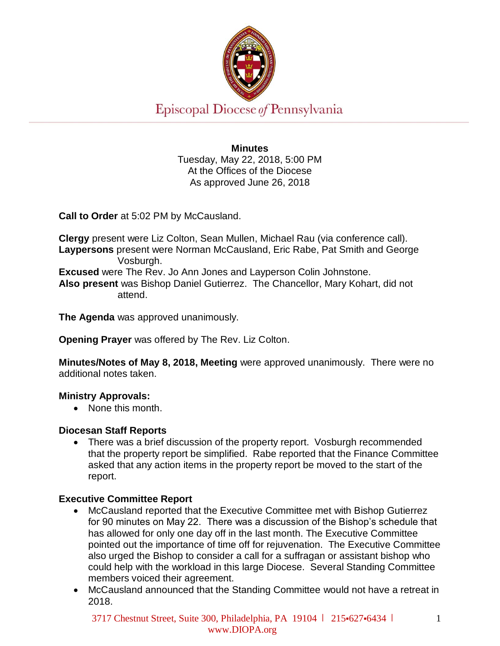

Episcopal Diocese of Pennsylvania

**Minutes** Tuesday, May 22, 2018, 5:00 PM At the Offices of the Diocese As approved June 26, 2018

**Call to Order** at 5:02 PM by McCausland.

**Clergy** present were Liz Colton, Sean Mullen, Michael Rau (via conference call). **Laypersons** present were Norman McCausland, Eric Rabe, Pat Smith and George Vosburgh. **Excused** were The Rev. Jo Ann Jones and Layperson Colin Johnstone. **Also present** was Bishop Daniel Gutierrez. The Chancellor, Mary Kohart, did not attend.

**The Agenda** was approved unanimously.

**Opening Prayer** was offered by The Rev. Liz Colton.

**Minutes/Notes of May 8, 2018, Meeting** were approved unanimously. There were no additional notes taken.

#### **Ministry Approvals:**

• None this month.

#### **Diocesan Staff Reports**

• There was a brief discussion of the property report. Vosburgh recommended that the property report be simplified. Rabe reported that the Finance Committee asked that any action items in the property report be moved to the start of the report.

# **Executive Committee Report**

- McCausland reported that the Executive Committee met with Bishop Gutierrez for 90 minutes on May 22. There was a discussion of the Bishop's schedule that has allowed for only one day off in the last month. The Executive Committee pointed out the importance of time off for rejuvenation. The Executive Committee also urged the Bishop to consider a call for a suffragan or assistant bishop who could help with the workload in this large Diocese. Several Standing Committee members voiced their agreement.
- McCausland announced that the Standing Committee would not have a retreat in 2018.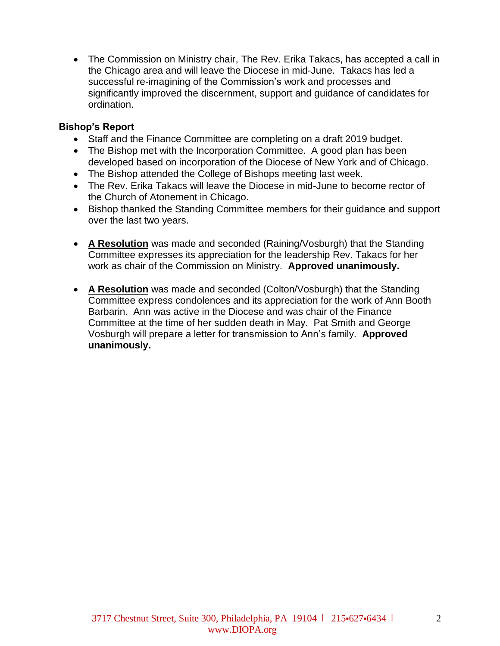• The Commission on Ministry chair, The Rev. Erika Takacs, has accepted a call in the Chicago area and will leave the Diocese in mid-June. Takacs has led a successful re-imagining of the Commission's work and processes and significantly improved the discernment, support and guidance of candidates for ordination.

## **Bishop's Report**

- Staff and the Finance Committee are completing on a draft 2019 budget.
- The Bishop met with the Incorporation Committee. A good plan has been developed based on incorporation of the Diocese of New York and of Chicago.
- The Bishop attended the College of Bishops meeting last week.
- The Rev. Erika Takacs will leave the Diocese in mid-June to become rector of the Church of Atonement in Chicago.
- Bishop thanked the Standing Committee members for their guidance and support over the last two years.
- **A Resolution** was made and seconded (Raining/Vosburgh) that the Standing Committee expresses its appreciation for the leadership Rev. Takacs for her work as chair of the Commission on Ministry. **Approved unanimously.**
- **A Resolution** was made and seconded (Colton/Vosburgh) that the Standing Committee express condolences and its appreciation for the work of Ann Booth Barbarin. Ann was active in the Diocese and was chair of the Finance Committee at the time of her sudden death in May. Pat Smith and George Vosburgh will prepare a letter for transmission to Ann's family. **Approved unanimously.**

 $\mathcal{L}$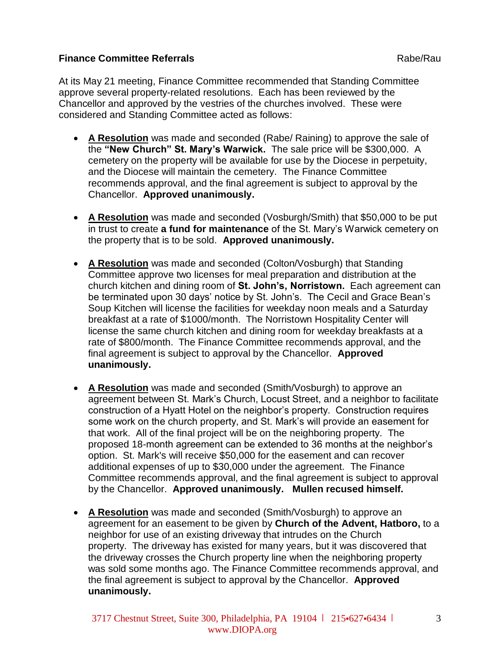### **Finance Committee Referrals** Rabe/Rault Rabe/Rault Rabe/Rault Rabe/Rault Rabe/Rault Rabe/Rault Rabe/Rault Rabe/Rault Rabe/Rault Rabe/Rault Rabe/Rault Rabe/Rault Rabe/Rault Rabe/Rault Rabe/Rault Rabe/Rault Rabe/Rault Rabe/

At its May 21 meeting, Finance Committee recommended that Standing Committee approve several property-related resolutions. Each has been reviewed by the Chancellor and approved by the vestries of the churches involved. These were considered and Standing Committee acted as follows:

- **A Resolution** was made and seconded (Rabe/ Raining) to approve the sale of the **"New Church" St. Mary's Warwick.** The sale price will be \$300,000. A cemetery on the property will be available for use by the Diocese in perpetuity, and the Diocese will maintain the cemetery. The Finance Committee recommends approval, and the final agreement is subject to approval by the Chancellor. **Approved unanimously.**
- **A Resolution** was made and seconded (Vosburgh/Smith) that \$50,000 to be put in trust to create **a fund for maintenance** of the St. Mary's Warwick cemetery on the property that is to be sold. **Approved unanimously.**
- **A Resolution** was made and seconded (Colton/Vosburgh) that Standing Committee approve two licenses for meal preparation and distribution at the church kitchen and dining room of **St. John's, Norristown.** Each agreement can be terminated upon 30 days' notice by St. John's. The Cecil and Grace Bean's Soup Kitchen will license the facilities for weekday noon meals and a Saturday breakfast at a rate of \$1000/month. The Norristown Hospitality Center will license the same church kitchen and dining room for weekday breakfasts at a rate of \$800/month. The Finance Committee recommends approval, and the final agreement is subject to approval by the Chancellor. **Approved unanimously.**
- **A Resolution** was made and seconded (Smith/Vosburgh) to approve an agreement between St. Mark's Church, Locust Street, and a neighbor to facilitate construction of a Hyatt Hotel on the neighbor's property. Construction requires some work on the church property, and St. Mark's will provide an easement for that work. All of the final project will be on the neighboring property. The proposed 18-month agreement can be extended to 36 months at the neighbor's option. St. Mark's will receive \$50,000 for the easement and can recover additional expenses of up to \$30,000 under the agreement. The Finance Committee recommends approval, and the final agreement is subject to approval by the Chancellor. **Approved unanimously. Mullen recused himself.**
- **A Resolution** was made and seconded (Smith/Vosburgh) to approve an agreement for an easement to be given by **Church of the Advent, Hatboro,** to a neighbor for use of an existing driveway that intrudes on the Church property. The driveway has existed for many years, but it was discovered that the driveway crosses the Church property line when the neighboring property was sold some months ago. The Finance Committee recommends approval, and the final agreement is subject to approval by the Chancellor. **Approved unanimously.**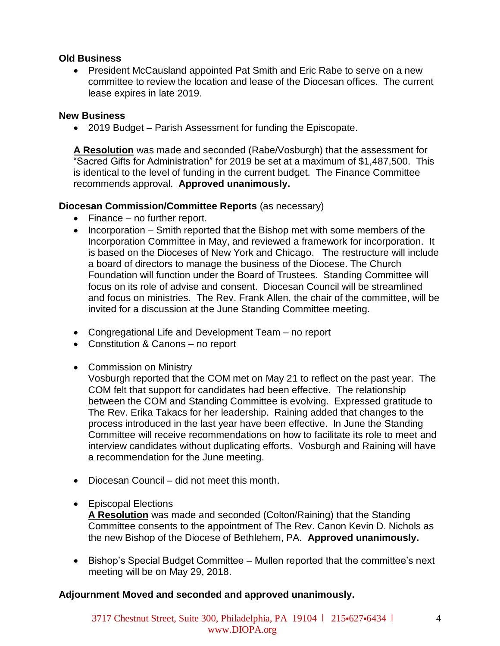### **Old Business**

• President McCausland appointed Pat Smith and Eric Rabe to serve on a new committee to review the location and lease of the Diocesan offices. The current lease expires in late 2019.

### **New Business**

• 2019 Budget – Parish Assessment for funding the Episcopate.

**A Resolution** was made and seconded (Rabe/Vosburgh) that the assessment for "Sacred Gifts for Administration" for 2019 be set at a maximum of \$1,487,500. This is identical to the level of funding in the current budget. The Finance Committee recommends approval. **Approved unanimously.** 

### **Diocesan Commission/Committee Reports** (as necessary)

- Finance no further report.
- Incorporation Smith reported that the Bishop met with some members of the Incorporation Committee in May, and reviewed a framework for incorporation. It is based on the Dioceses of New York and Chicago. The restructure will include a board of directors to manage the business of the Diocese. The Church Foundation will function under the Board of Trustees. Standing Committee will focus on its role of advise and consent. Diocesan Council will be streamlined and focus on ministries. The Rev. Frank Allen, the chair of the committee, will be invited for a discussion at the June Standing Committee meeting.
- Congregational Life and Development Team no report
- Constitution & Canons no report
- Commission on Ministry

Vosburgh reported that the COM met on May 21 to reflect on the past year. The COM felt that support for candidates had been effective. The relationship between the COM and Standing Committee is evolving. Expressed gratitude to The Rev. Erika Takacs for her leadership. Raining added that changes to the process introduced in the last year have been effective. In June the Standing Committee will receive recommendations on how to facilitate its role to meet and interview candidates without duplicating efforts. Vosburgh and Raining will have a recommendation for the June meeting.

- Diocesan Council did not meet this month.
- Episcopal Elections

**A Resolution** was made and seconded (Colton/Raining) that the Standing Committee consents to the appointment of The Rev. Canon Kevin D. Nichols as the new Bishop of the Diocese of Bethlehem, PA. **Approved unanimously.** 

• Bishop's Special Budget Committee – Mullen reported that the committee's next meeting will be on May 29, 2018.

# **Adjournment Moved and seconded and approved unanimously.**